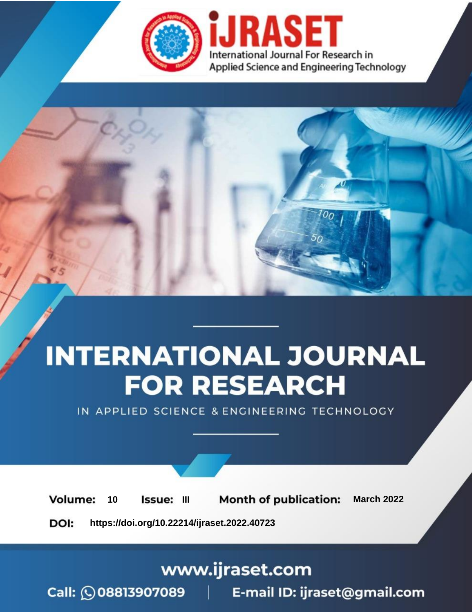

# **INTERNATIONAL JOURNAL FOR RESEARCH**

IN APPLIED SCIENCE & ENGINEERING TECHNOLOGY

10 **Issue: III Month of publication:** March 2022 **Volume:** 

**https://doi.org/10.22214/ijraset.2022.40723**DOI:

www.ijraset.com

Call: 008813907089 | E-mail ID: ijraset@gmail.com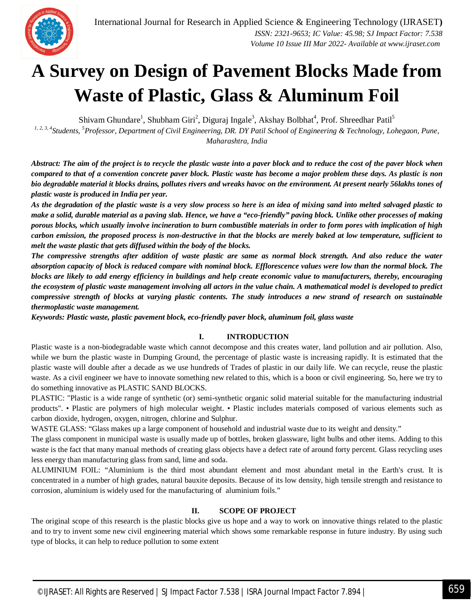

### **A Survey on Design of Pavement Blocks Made from Waste of Plastic, Glass & Aluminum Foil**

Shivam Ghundare<sup>1</sup>, Shubham Giri<sup>2</sup>, Diguraj Ingale<sup>3</sup>, Akshay Bolbhat<sup>4</sup>, Prof. Shreedhar Patil<sup>5</sup>

*1, 2, 3, 4Students, <sup>5</sup>Professor, Department of Civil Engineering, DR. DY Patil School of Engineering & Technology, Lohegaon, Pune, Maharashtra, India*

*Abstract: The aim of the project is to recycle the plastic waste into a paver block and to reduce the cost of the paver block when compared to that of a convention concrete paver block. Plastic waste has become a major problem these days. As plastic is non bio degradable material it blocks drains, pollutes rivers and wreaks havoc on the environment. At present nearly 56lakhs tones of plastic waste is produced in India per year.* 

*As the degradation of the plastic waste is a very slow process so here is an idea of mixing sand into melted salvaged plastic to make a solid, durable material as a paving slab. Hence, we have a "eco-friendly" paving block. Unlike other processes of making porous blocks, which usually involve incineration to burn combustible materials in order to form pores with implication of high carbon emission, the proposed process is non-destructive in that the blocks are merely baked at low temperature, sufficient to melt the waste plastic that gets diffused within the body of the blocks.* 

*The compressive strengths after addition of waste plastic are same as normal block strength. And also reduce the water absorption capacity of block is reduced compare with nominal block. Efflorescence values were low than the normal block. The blocks are likely to add energy efficiency in buildings and help create economic value to manufacturers, thereby, encouraging the ecosystem of plastic waste management involving all actors in the value chain. A mathematical model is developed to predict compressive strength of blocks at varying plastic contents. The study introduces a new strand of research on sustainable thermoplastic waste management.* 

*Keywords: Plastic waste, plastic pavement block, eco-friendly paver block, aluminum foil, glass waste*

#### **I. INTRODUCTION**

Plastic waste is a non-biodegradable waste which cannot decompose and this creates water, land pollution and air pollution. Also, while we burn the plastic waste in Dumping Ground, the percentage of plastic waste is increasing rapidly. It is estimated that the plastic waste will double after a decade as we use hundreds of Trades of plastic in our daily life. We can recycle, reuse the plastic waste. As a civil engineer we have to innovate something new related to this, which is a boon or civil engineering. So, here we try to do something innovative as PLASTIC SAND BLOCKS.

PLASTIC: "Plastic is a wide range of synthetic (or) semi-synthetic organic solid material suitable for the manufacturing industrial products". • Plastic are polymers of high molecular weight. • Plastic includes materials composed of various elements such as carbon dioxide, hydrogen, oxygen, nitrogen, chlorine and Sulphur.

WASTE GLASS: "Glass makes up a large component of household and industrial waste due to its weight and density."

The glass component in municipal waste is usually made up of bottles, broken glassware, light bulbs and other items. Adding to this waste is the fact that many manual methods of creating glass objects have a defect rate of around forty percent. Glass recycling uses less energy than manufacturing glass from sand, lime and soda.

ALUMINIUM FOIL: "Aluminium is the third most abundant element and most abundant metal in the Earth's crust. It is concentrated in a number of high grades, natural bauxite deposits. Because of its low density, high tensile strength and resistance to corrosion, aluminium is widely used for the manufacturing of aluminium foils."

#### **II. SCOPE OF PROJECT**

The original scope of this research is the plastic blocks give us hope and a way to work on innovative things related to the plastic and to try to invent some new civil engineering material which shows some remarkable response in future industry. By using such type of blocks, it can help to reduce pollution to some extent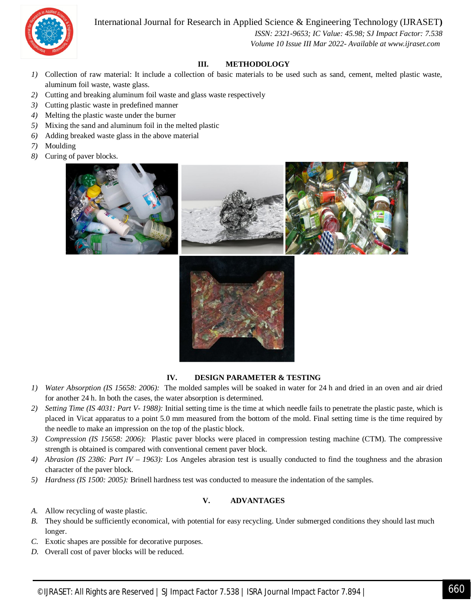#### International Journal for Research in Applied Science & Engineering Technology (IJRASET**)**



 *ISSN: 2321-9653; IC Value: 45.98; SJ Impact Factor: 7.538 Volume 10 Issue III Mar 2022- Available at www.ijraset.com*

#### **III. METHODOLOGY**

- *1)* Collection of raw material: It include a collection of basic materials to be used such as sand, cement, melted plastic waste, aluminum foil waste, waste glass.
- *2)* Cutting and breaking aluminum foil waste and glass waste respectively
- *3)* Cutting plastic waste in predefined manner
- *4)* Melting the plastic waste under the burner
- *5)* Mixing the sand and aluminum foil in the melted plastic
- *6)* Adding breaked waste glass in the above material
- *7)* Moulding
- *8)* Curing of paver blocks.



#### **IV. DESIGN PARAMETER & TESTING**

- *1) Water Absorption (IS 15658: 2006):* The molded samples will be soaked in water for 24 h and dried in an oven and air dried for another 24 h. In both the cases, the water absorption is determined.
- *2) Setting Time (IS 4031: Part V- 1988):* Initial setting time is the time at which needle fails to penetrate the plastic paste, which is placed in Vicat apparatus to a point 5.0 mm measured from the bottom of the mold. Final setting time is the time required by the needle to make an impression on the top of the plastic block.
- *3) Compression (IS 15658: 2006):* Plastic paver blocks were placed in compression testing machine (CTM). The compressive strength is obtained is compared with conventional cement paver block.
- *4) Abrasion (IS 2386: Part IV – 1963):* Los Angeles abrasion test is usually conducted to find the toughness and the abrasion character of the paver block.
- *5) Hardness (IS 1500: 2005):* Brinell hardness test was conducted to measure the indentation of the samples.

#### **V. ADVANTAGES**

- *A.* Allow recycling of waste plastic.
- *B.* They should be sufficiently economical, with potential for easy recycling. Under submerged conditions they should last much longer.
- *C.* Exotic shapes are possible for decorative purposes.
- *D.* Overall cost of paver blocks will be reduced.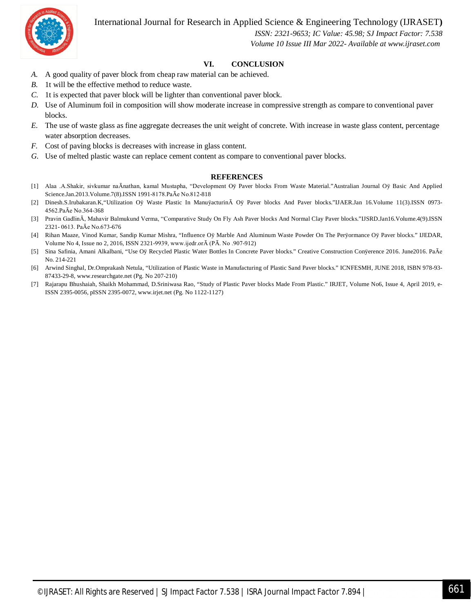International Journal for Research in Applied Science & Engineering Technology (IJRASET**)**



 *ISSN: 2321-9653; IC Value: 45.98; SJ Impact Factor: 7.538 Volume 10 Issue III Mar 2022- Available at www.ijraset.com*

#### **VI. CONCLUSION**

- *A.* A good quality of paver block from cheap raw material can be achieved.
- *B.* 1t will be the effective method to reduce waste.
- *C.* 1t is expected that paver block will be lighter than conventional paver block.
- *D.* Use of Aluminum foil in composition will show moderate increase in compressive strength as compare to conventional paver blocks.
- *E.* The use of waste glass as fine aggregate decreases the unit weight of concrete. With increase in waste glass content, percentage water absorption decreases.
- *F.* Cost of paving blocks is decreases with increase in glass content.
- *G.* Use of melted plastic waste can replace cement content as compare to conventional paver blocks.

#### **REFERENCES**

- [1] Alaa .A.Shakir, sivkumar naĀnathan, kamal Mustapha, "Development Oÿ Paver blocks From Waste Material."Australian Journal Oÿ Basic And Applied Science.Jan.2013.Volume.7(8).ISSN 1991-8178.PaĀe No.812-818
- [2] Dinesh.S.Irubakaran.K,"Utilization Oÿ Waste Plastic In ManuÿacturinĀ Oÿ Paver blocks And Paver blocks."IJAER.Jan 16.Volume 11(3).ISSN 0973- 4562.PaĀe No.364-368
- [3] Pravin GadlinĀ, Mahavir Balmukund Verma, "Comparative Study On Fly Ash Paver blocks And Normal Clay Paver blocks."IJSRD.Jan16.Volume.4(9).ISSN 2321- 0613. PaĀe No.673-676
- [4] Rihan Maaze, Vinod Kumar, Sandip Kumar Mishra, "Influence Oÿ Marble And Aluminum Waste Powder On The Perÿormance Oÿ Paver blocks." IJEDAR, Volume No 4, Issue no 2, 2016, ISSN 2321-9939, www.ijedr.orĀ (PĀ. No .907-912)
- [5] Sina Safinia, Amani Alkalbani, "Use Oÿ Recycled Plastic Water Bottles In Concrete Paver blocks." Creative Construction Conÿerence 2016. June2016. PaĀe No. 214-221
- [6] Arwind Singhal, Dr.Omprakash Netula, "Utilization of Plastic Waste in Manufacturing of Plastic Sand Paver blocks." ICNFESMH, JUNE 2018, ISBN 978-93- 87433-29-8, www.researchgate.net (Pg. No 207-210)
- [7] Rajarapu Bhushaiah, Shaikh Mohammad, D.Sriniwasa Rao, "Study of Plastic Paver blocks Made From Plastic." IRJET, Volume No6, Issue 4, April 2019, e-ISSN 2395-0056, pISSN 2395-0072, www.irjet.net (Pg. No 1122-1127)